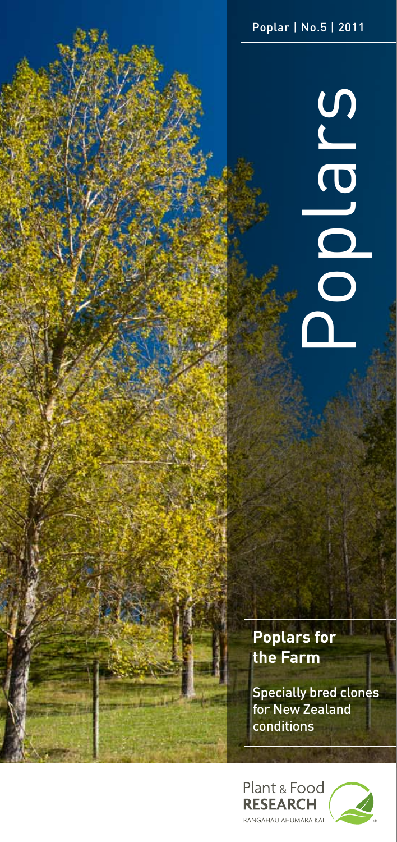Poplar | No.5 | 2011

# Poplars

**Poplars for the Farm**

Specially bred clones for New Zealand conditions

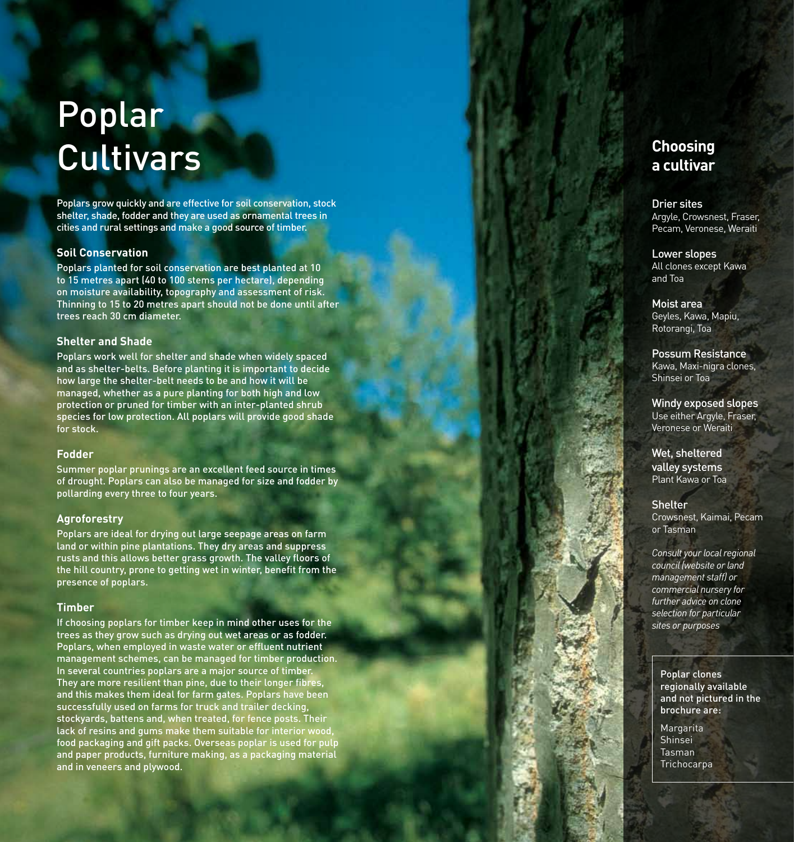# Poplar **Cultivars**

Poplars grow quickly and are effective for soil conservation, stock shelter, shade, fodder and they are used as ornamental trees in cities and rural settings and make a good source of timber.

### **Soil Conservation**

Poplars planted for soil conservation are best planted at 10 to 15 metres apart (40 to 100 stems per hectare), depending on moisture availability, topography and assessment of risk. Thinning to 15 to 20 metres apart should not be done until after trees reach 30 cm diameter.

### **Shelter and Shade**

Poplars work well for shelter and shade when widely spaced and as shelter-belts. Before planting it is important to decide how large the shelter-belt needs to be and how it will be managed, whether as a pure planting for both high and low protection or pruned for timber with an inter-planted shrub species for low protection. All poplars will provide good shade for stock.

### **Fodder**

Summer poplar prunings are an excellent feed source in times of drought. Poplars can also be managed for size and fodder by pollarding every three to four years.

### **Agroforestry**

Poplars are ideal for drying out large seepage areas on farm land or within pine plantations. They dry areas and suppress rusts and this allows better grass growth. The valley floors of the hill country, prone to getting wet in winter, benefit from the presence of poplars.

### **Timber**

If choosing poplars for timber keep in mind other uses for the trees as they grow such as drying out wet areas or as fodder. Poplars, when employed in waste water or effluent nutrient management schemes, can be managed for timber production. In several countries poplars are a major source of timber. They are more resilient than pine, due to their longer fibres, and this makes them ideal for farm gates. Poplars have been successfully used on farms for truck and trailer decking, stockyards, battens and, when treated, for fence posts. Their lack of resins and gums make them suitable for interior wood, food packaging and gift packs. Overseas poplar is used for pulp and paper products, furniture making, as a packaging material and in veneers and plywood.

# **Choosing a cultivar**

Drier sites Argyle, Crowsnest, Fraser, Pecam, Veronese, Weraiti

Lower slopes All clones except Kawa and Toa

Moist area Geyles, Kawa, Mapiu, Rotorangi, Toa

Possum Resistance Kawa, Maxi-nigra clones, Shinsei or Toa

Windy exposed slopes Use either Argyle, Fraser, Veronese or Weraiti

Wet, sheltered valley systems Plant Kawa or Toa

**Shelter** 

Crowsnest, Kaimai, Pecam or Tasman

*Consult your local regional council (website or land management staff) or commercial nursery for further advice on clone selection for particular sites or purposes*

Poplar clones regionally available and not pictured in the brochure are:

Margarita Shinsei Tasman **Trichocarpa**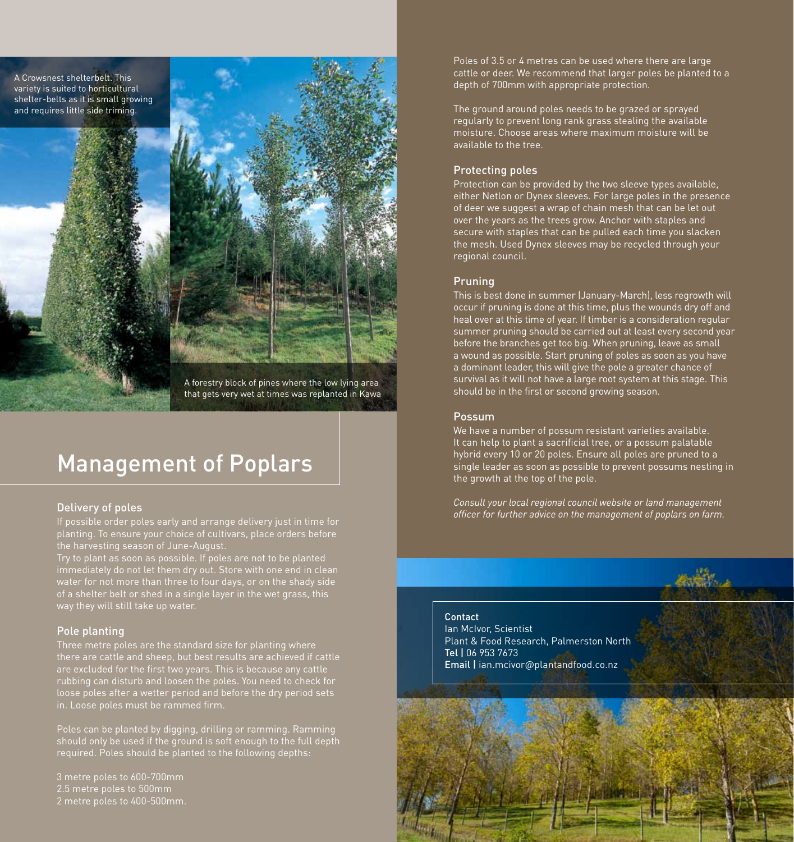

A forestry block of pines where the low lying area that gets very wet at times was replanted in Kawa

# Management of Poplars

### Delivery of poles

If possible order poles early and arrange delivery just in time for planting. To ensure your choice of cultivars, place orders before the harvesting season of June-August.

Try to plant as soon as possible. If poles are not to be planted immediately do not let them dry out. Store with one end in clean water for not more than three to four days, or on the shady side of a shelter belt or shed in a single layer in the wet grass, this way they will still take up water.

### Pole planting

Three metre poles are the standard size for planting where there are cattle and sheep, but best results are achieved if cattle are excluded for the first two years. This is because any cattle rubbing can disturb and loosen the poles. You need to check for loose poles after a wetter period and before the dry period sets in. Loose poles must be rammed firm.

Poles can be planted by digging, drilling or ramming. Ramming should only be used if the ground is soft enough to the full depth required. Poles should be planted to the following depths:

3 metre poles to 600-700mm 2.5 metre poles to 500mm 2 metre poles to 400-500mm. Poles of 3.5 or 4 metres can be used where there are large cattle or deer. We recommend that larger poles be planted to a depth of 700mm with appropriate protection.

The ground around poles needs to be grazed or sprayed regularly to prevent long rank grass stealing the available moisture. Choose areas where maximum moisture will be available to the tree.

### Protecting poles

Protection can be provided by the two sleeve types available, either Netlon or Dynex sleeves. For large poles in the presence of deer we suggest a wrap of chain mesh that can be let out over the years as the trees grow. Anchor with staples and secure with staples that can be pulled each time you slacken the mesh. Used Dynex sleeves may be recycled through your regional council.

### Pruning

This is best done in summer (January-March), less regrowth will occur if pruning is done at this time, plus the wounds dry off and heal over at this time of year. If timber is a consideration regular summer pruning should be carried out at least every second year before the branches get too big. When pruning, leave as small a wound as possible. Start pruning of poles as soon as you have a dominant leader, this will give the pole a greater chance of survival as it will not have a large root system at this stage. This should be in the first or second growing season.

### Possum

We have a number of possum resistant varieties available. It can help to plant a sacrificial tree, or a possum palatable hybrid every 10 or 20 poles. Ensure all poles are pruned to a single leader as soon as possible to prevent possums nesting in the growth at the top of the pole.

*Consult your local regional council website or land management officer for further advice on the management of poplars on farm.*



### Contact

Ian McIvor, Scientist Plant & Food Research, Palmerston North Tel | 06 953 7673 Email | ian.mcivor@plantandfood.co.nz

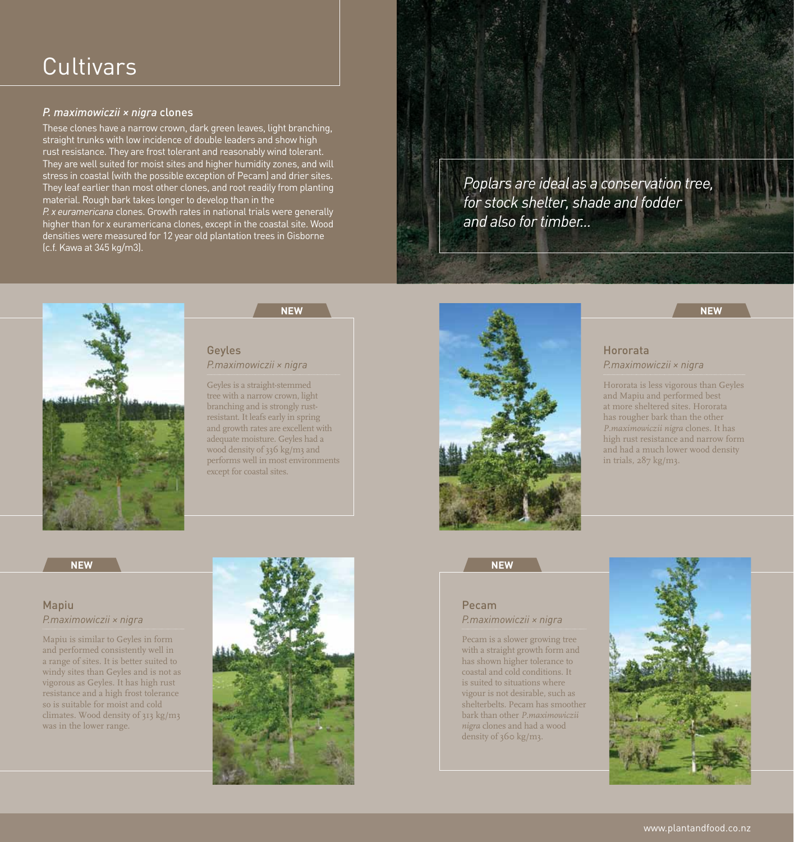# **Cultivars**

### *P. maximowiczii × nigra* clones

These clones have a narrow crown, dark green leaves, light branching, straight trunks with low incidence of double leaders and show high rust resistance. They are frost tolerant and reasonably wind tolerant. They are well suited for moist sites and higher humidity zones, and will stress in coastal (with the possible exception of Pecam) and drier sites. They leaf earlier than most other clones, and root readily from planting material. Rough bark takes longer to develop than in the

*P. x euramericana* clones. Growth rates in national trials were generally higher than for x euramericana clones, except in the coastal site. Wood densities were measured for 12 year old plantation trees in Gisborne (c.f. Kawa at 345 kg/m3).

*Poplars are ideal as a conservation tree, for stock shelter, shade and fodder and also for timber...* 



### Geyles *P.maximowiczii × nigra*

Geyles is a straight-stemmed tree with a narrow crown, light branching and is strongly rustresistant. It leafs early in spring and growth rates are excellent with adequate moisture. Geyles had a wood density of 336 kg/m3 and performs well in most environments except for coastal sites.



### Hororata *P.maximowiczii × nigra*

Hororata is less vigorous than Geyles and Mapiu and performed best at more sheltered sites. Hororata has rougher bark than the other *P.maximowiczii nigra* clones. It has high rust resistance and narrow form and had a much lower wood density in trials, 287 kg/m3.

### Mapiu *P.maximowiczii × nigra*

Mapiu is similar to Geyles in form and performed consistently well in a range of sites. It is better suited to windy sites than Geyles and is not as vigorous as Geyles. It has high rust resistance and a high frost tolerance so is suitable for moist and cold climates. Wood density of 313 kg/m3 was in the lower range.



### Pecam *P.maximowiczii × nigra*

Pecam is a slower growing tree with a straight growth form and has shown higher tolerance to coastal and cold conditions. It is suited to situations where vigour is not desirable, such as shelterbelts. Pecam has smoother bark than other *P.maximowiczii nigra* clones and had a wood density of 360 kg/m3.

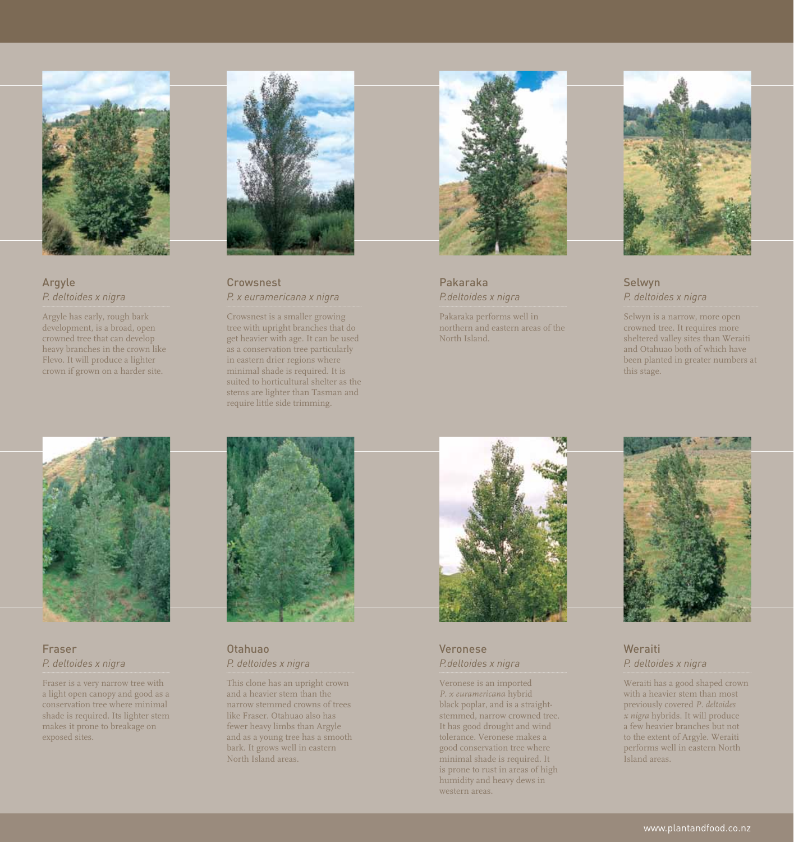

### Argyle *P. deltoides x nigra*

Argyle has early, rough bark development, is a broad, open crowned tree that can develop heavy branches in the crown like Flevo. It will produce a lighter crown if grown on a harder site.



**Crowsnest** *P. x euramericana x nigra*

Crowsnest is a smaller growing tree with upright branches that do get heavier with age. It can be used as a conservation tree particularly in eastern drier regions where minimal shade is required. It is suited to horticultural shelter as the stems are lighter than Tasman and require little side trimming.



Pakaraka *P.deltoides x nigra*

Pakaraka performs well in northern and eastern areas of the North Island.



Selwyn *P. deltoides x nigra*

Selwyn is a narrow, more open crowned tree. It requires more sheltered valley sites than Weraiti and Otahuao both of which have been planted in greater numbers at this stage.



Fraser *P. deltoides x nigra*

Fraser is a very narrow tree with a light open canopy and good as a conservation tree where minimal shade is required. Its lighter stem makes it prone to breakage on exposed sites.



Otahuao *P. deltoides x nigra*

This clone has an upright crown and a heavier stem than the narrow stemmed crowns of trees like Fraser. Otahuao also has fewer heavy limbs than Argyle and as a young tree has a smooth bark. It grows well in eastern North Island areas.



Veronese *P.deltoides x nigra*

Veronese is an imported *P. x euramericana* hybrid black poplar, and is a straightstemmed, narrow crowned tree. It has good drought and wind tolerance. Veronese makes a good conservation tree where minimal shade is required. It is prone to rust in areas of high humidity and heavy dews in western areas.



**Weraiti** *P. deltoides x nigra*

Weraiti has a good shaped crown with a heavier stem than most previously covered *P. deltoides x nigra* hybrids. It will produce a few heavier branches but not to the extent of Argyle. Weraiti performs well in eastern North Island areas.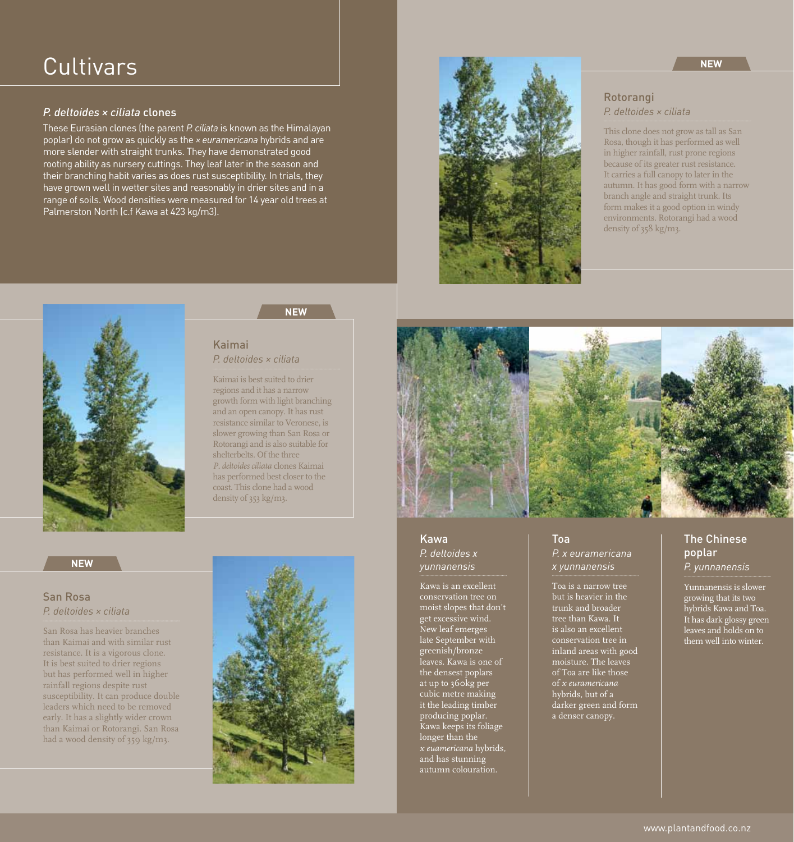### *P. deltoides × ciliata* clones

These Eurasian clones (the parent *P. ciliata* is known as the Himalayan poplar) do not grow as quickly as the *× euramericana* hybrids and are more slender with straight trunks. They have demonstrated good rooting ability as nursery cuttings. They leaf later in the season and their branching habit varies as does rust susceptibility. In trials, they have grown well in wetter sites and reasonably in drier sites and in a range of soils. Wood densities were measured for 14 year old trees at Palmerston North (c.f Kawa at 423 kg/m3).



**NEW**

### Rotorangi *P. deltoides × ciliata*

This clone does not grow as tall as San Rosa, though it has performed as well in higher rainfall, rust prone regions because of its greater rust resistance. It carries a full canopy to later in the autumn. It has good form with a narrow branch angle and straight trunk. Its form makes it a good option in windy environments. Rotorangi had a wood density of 358 kg/m3.



# **NEW**

### Kaimai *P. deltoides × ciliata*

Kaimai is best suited to drier regions and it has a narrow growth form with light branching and an open canopy. It has rust resistance similar to Veronese, is slower growing than San Rosa or Rotorangi and is also suitable for shelterbelts. Of the three *P. deltoides ciliata* clones Kaimai has performed best closer to the coast. This clone had a wood density of 353 kg/m3.

### Kawa *P. deltoides x yunnanensis*

Kawa is an excellent conservation tree on moist slopes that don't get excessive wind. New leaf emerges late September with greenish/bronze leaves. Kawa is one of the densest poplars at up to 360kg per cubic metre making it the leading timber producing poplar. Kawa keeps its foliage longer than the *x euamericana* hybrids, and has stunning autumn colouration.

### Toa *P. x euramericana x yunnanensis*

Toa is a narrow tree but is heavier in the trunk and broader tree than Kawa. It is also an excellent conservation tree in inland areas with good moisture. The leaves of Toa are like those of *x euramericana* hybrids, but of a darker green and form a denser canopy.

## The Chinese poplar *P. yunnanensis*

Yunnanensis is slower growing that its two hybrids Kawa and Toa. It has dark glossy green leaves and holds on to them well into winter.

### **NEW**

### San Rosa *P. deltoides × ciliata*

San Rosa has heavier branches than Kaimai and with similar rust resistance. It is a vigorous clone. It is best suited to drier regions but has performed well in higher rainfall regions despite rust susceptibility. It can produce double leaders which need to be removed early. It has a slightly wider crown than Kaimai or Rotorangi. San Rosa had a wood density of 359 kg/m3.